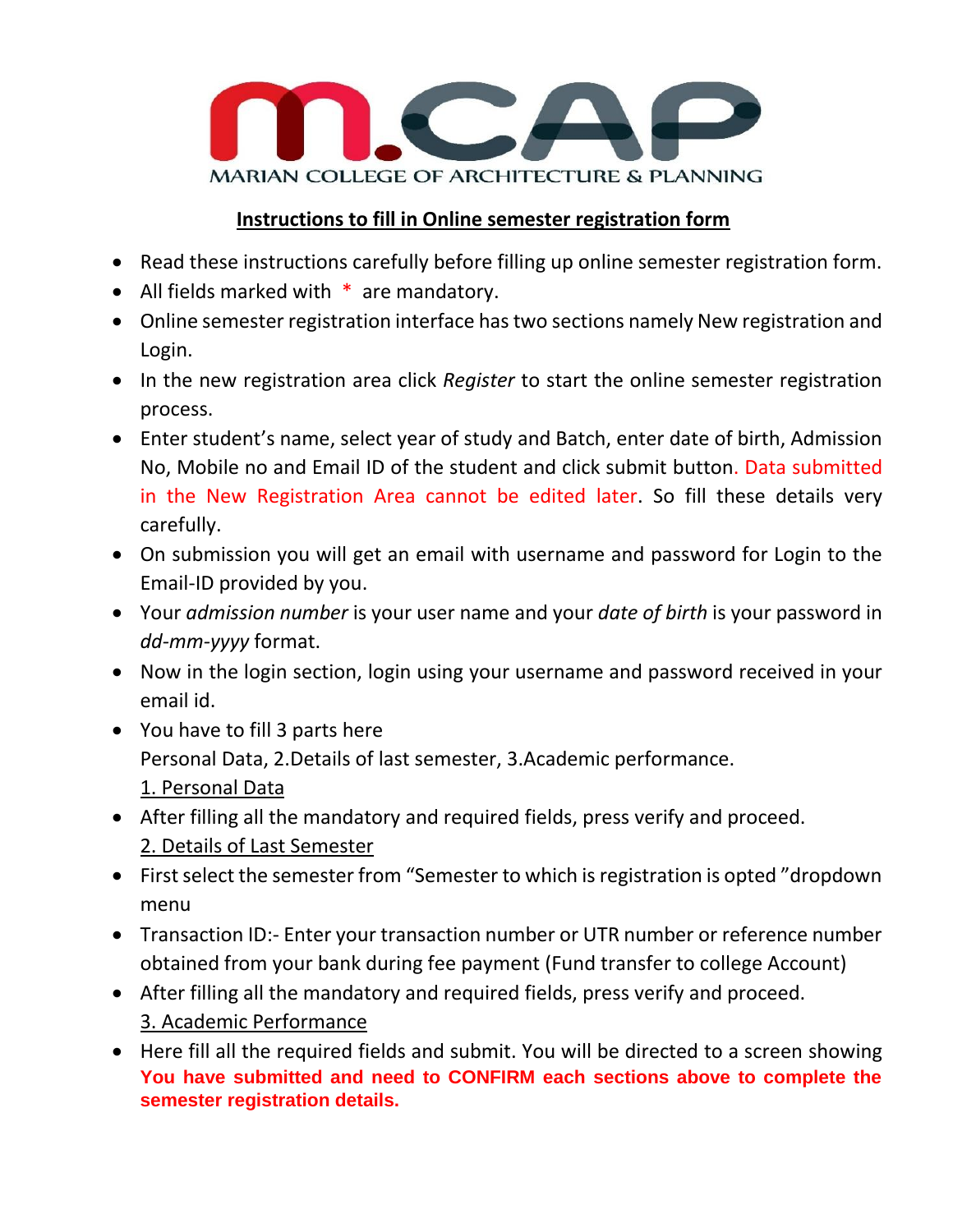

## **Instructions to fill in Online semester registration form**

- Read these instructions carefully before filling up online semester registration form.
- All fields marked with  $*$  are mandatory.
- Online semester registration interface has two sections namely New registration and Login.
- In the new registration area click *Register* to start the online semester registration process.
- Enter student's name, select year of study and Batch, enter date of birth, Admission No, Mobile no and Email ID of the student and click submit button. Data submitted in the New Registration Area cannot be edited later. So fill these details very carefully.
- On submission you will get an email with username and password for Login to the Email-ID provided by you.
- Your *admission number* is your user name and your *date of birth* is your password in *dd-mm-yyyy* format.
- Now in the login section, login using your username and password received in your email id.
- You have to fill 3 parts here Personal Data, 2.Details of last semester, 3.Academic performance. 1. Personal Data
- After filling all the mandatory and required fields, press verify and proceed. 2. Details of Last Semester
- First select the semester from "Semester to which is registration is opted "dropdown menu
- Transaction ID:- Enter your transaction number or UTR number or reference number obtained from your bank during fee payment (Fund transfer to college Account)
- After filling all the mandatory and required fields, press verify and proceed. 3. Academic Performance
- Here fill all the required fields and submit. You will be directed to a screen showing **You have submitted and need to CONFIRM each sections above to complete the semester registration details.**